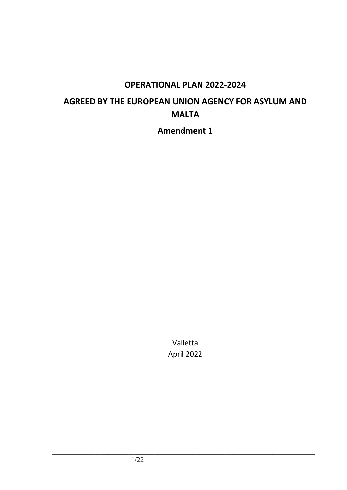# **OPERATIONAL PLAN 2022-2024**

# **AGREED BY THE EUROPEAN UNION AGENCY FOR ASYLUM AND MALTA**

**Amendment 1**

Valletta April 2022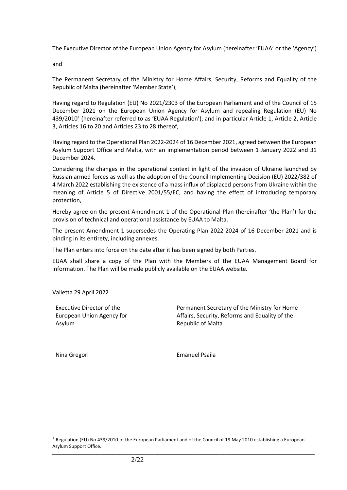The Executive Director of the European Union Agency for Asylum (hereinafter 'EUAA' or the 'Agency')

and

The Permanent Secretary of the Ministry for Home Affairs, Security, Reforms and Equality of the Republic of Malta (hereinafter 'Member State'),

Having regard to Regulation (EU) No 2021/2303 of the European Parliament and of the Council of 15 December 2021 on the European Union Agency for Asylum and repealing Regulation (EU) No 439/2010<sup>1</sup> (hereinafter referred to as 'EUAA Regulation'), and in particular Article 1, Article 2, Article 3, Articles 16 to 20 and Articles 23 to 28 thereof,

Having regard to the Operational Plan 2022-2024 of 16 December 2021, agreed between the European Asylum Support Office and Malta, with an implementation period between 1 January 2022 and 31 December 2024.

Considering the changes in the operational context in light of the invasion of Ukraine launched by Russian armed forces as well as the adoption of the Council Implementing Decision (EU) 2022/382 of 4 March 2022 establishing the existence of a mass influx of displaced persons from Ukraine within the meaning of Article 5 of Directive 2001/55/EC, and having the effect of introducing temporary protection,

Hereby agree on the present Amendment 1 of the Operational Plan (hereinafter 'the Plan') for the provision of technical and operational assistance by EUAA to Malta.

The present Amendment 1 supersedes the Operating Plan 2022-2024 of 16 December 2021 and is binding in its entirety, including annexes.

The Plan enters into force on the date after it has been signed by both Parties.

EUAA shall share a copy of the Plan with the Members of the EUAA Management Board for information. The Plan will be made publicly available on the EUAA website.

Valletta 29 April 2022

Executive Director of the European Union Agency for Asylum

Permanent Secretary of the Ministry for Home Affairs, Security, Reforms and Equality of the Republic of Malta

Nina Gregori **Emanuel Psaila** 

<sup>&</sup>lt;sup>1</sup> Regulation (EU) No 439/2010 of the European Parliament and of the Council of 19 May 2010 establishing a European Asylum Support Office.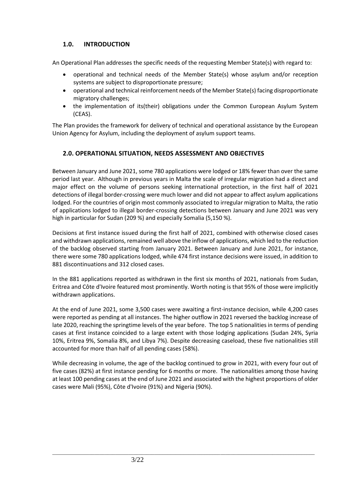# **1.0. INTRODUCTION**

An Operational Plan addresses the specific needs of the requesting Member State(s) with regard to:

- operational and technical needs of the Member State(s) whose asylum and/or reception systems are subject to disproportionate pressure;
- operational and technical reinforcement needs of the Member State(s) facing disproportionate migratory challenges;
- the implementation of its(their) obligations under the Common European Asylum System (CEAS).

The Plan provides the framework for delivery of technical and operational assistance by the European Union Agency for Asylum, including the deployment of asylum support teams.

# **2.0. OPERATIONAL SITUATION, NEEDS ASSESSMENT AND OBJECTIVES**

Between January and June 2021, some 780 applications were lodged or 18% fewer than over the same period last year. Although in previous years in Malta the scale of irregular migration had a direct and major effect on the volume of persons seeking international protection, in the first half of 2021 detections of illegal border-crossing were much lower and did not appear to affect asylum applications lodged. For the countries of origin most commonly associated to irregular migration to Malta, the ratio of applications lodged to illegal border-crossing detections between January and June 2021 was very high in particular for Sudan (209 %) and especially Somalia (5,150 %).

Decisions at first instance issued during the first half of 2021, combined with otherwise closed cases and withdrawn applications, remained well above the inflow of applications, which led to the reduction of the backlog observed starting from January 2021. Between January and June 2021, for instance, there were some 780 applications lodged, while 474 first instance decisions were issued, in addition to 881 discontinuations and 312 closed cases.

In the 881 applications reported as withdrawn in the first six months of 2021, nationals from Sudan, Eritrea and Côte d'Ivoire featured most prominently. Worth noting is that 95% of those were implicitly withdrawn applications.

At the end of June 2021, some 3,500 cases were awaiting a first-instance decision, while 4,200 cases were reported as pending at all instances. The higher outflow in 2021 reversed the backlog increase of late 2020, reaching the springtime levels of the year before. The top 5 nationalities in terms of pending cases at first instance coincided to a large extent with those lodging applications (Sudan 24%, Syria 10%, Eritrea 9%, Somalia 8%, and Libya 7%). Despite decreasing caseload, these five nationalities still accounted for more than half of all pending cases (58%).

While decreasing in volume, the age of the backlog continued to grow in 2021, with every four out of five cases (82%) at first instance pending for 6 months or more. The nationalities among those having at least 100 pending cases at the end of June 2021 and associated with the highest proportions of older cases were Mali (95%), Côte d'Ivoire (91%) and Nigeria (90%).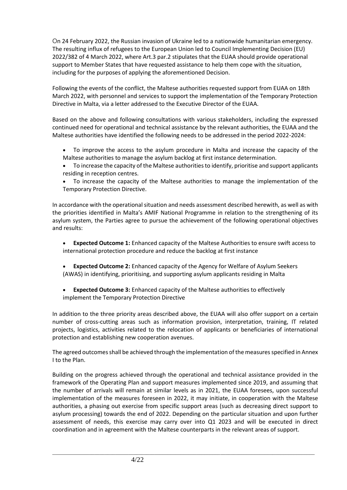On 24 February 2022, the Russian invasion of Ukraine led to a nationwide humanitarian emergency. The resulting influx of refugees to the European Union led to Council Implementing Decision (EU) 2022/382 of 4 March 2022, where Art.3 par.2 stipulates that the EUAA should provide operational support to Member States that have requested assistance to help them cope with the situation, including for the purposes of applying the aforementioned Decision.

Following the events of the conflict, the Maltese authorities requested support from EUAA on 18th March 2022, with personnel and services to support the implementation of the Temporary Protection Directive in Malta, via a letter addressed to the Executive Director of the EUAA.

Based on the above and following consultations with various stakeholders, including the expressed continued need for operational and technical assistance by the relevant authorities, the EUAA and the Maltese authorities have identified the following needs to be addressed in the period 2022-2024:

- To improve the access to the asylum procedure in Malta and increase the capacity of the Maltese authorities to manage the asylum backlog at first instance determination.
- To increase the capacity of the Maltese authorities to identify, prioritise and support applicants residing in reception centres.
- To increase the capacity of the Maltese authorities to manage the implementation of the Temporary Protection Directive.

In accordance with the operational situation and needs assessment described herewith, as well as with the priorities identified in Malta's AMIF National Programme in relation to the strengthening of its asylum system, the Parties agree to pursue the achievement of the following operational objectives and results:

- **Expected Outcome 1:** Enhanced capacity of the Maltese Authorities to ensure swift access to international protection procedure and reduce the backlog at first instance
- **Expected Outcome 2:** Enhanced capacity of the Agency for Welfare of Asylum Seekers (AWAS) in identifying, prioritising, and supporting asylum applicants residing in Malta
- **Expected Outcome 3:** Enhanced capacity of the Maltese authorities to effectively implement the Temporary Protection Directive

In addition to the three priority areas described above, the EUAA will also offer support on a certain number of cross-cutting areas such as information provision, interpretation, training, IT related projects, logistics, activities related to the relocation of applicants or beneficiaries of international protection and establishing new cooperation avenues.

The agreed outcomes shall be achieved through the implementation of the measures specified in Annex I to the Plan.

Building on the progress achieved through the operational and technical assistance provided in the framework of the Operating Plan and support measures implemented since 2019, and assuming that the number of arrivals will remain at similar levels as in 2021, the EUAA foresees, upon successful implementation of the measures foreseen in 2022, it may initiate, in cooperation with the Maltese authorities, a phasing out exercise from specific support areas (such as decreasing direct support to asylum processing) towards the end of 2022. Depending on the particular situation and upon further assessment of needs, this exercise may carry over into Q1 2023 and will be executed in direct coordination and in agreement with the Maltese counterparts in the relevant areas of support.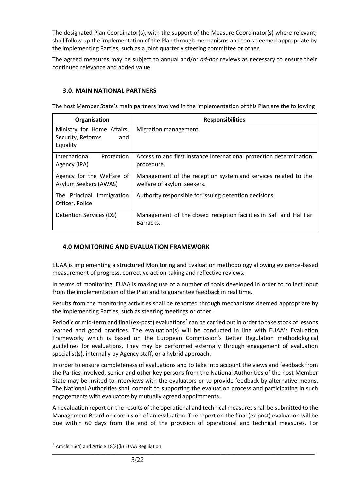The designated Plan Coordinator(s), with the support of the Measure Coordinator(s) where relevant, shall follow up the implementation of the Plan through mechanisms and tools deemed appropriate by the implementing Parties, such as a joint quarterly steering committee or other.

The agreed measures may be subject to annual and/or *ad-hoc* reviews as necessary to ensure their continued relevance and added value.

## **3.0. MAIN NATIONAL PARTNERS**

The host Member State's main partners involved in the implementation of this Plan are the following:

| Organisation                                                       | <b>Responsibilities</b>                                                                      |
|--------------------------------------------------------------------|----------------------------------------------------------------------------------------------|
| Ministry for Home Affairs,<br>Security, Reforms<br>and<br>Equality | Migration management.                                                                        |
| International<br>Protection<br>Agency (IPA)                        | Access to and first instance international protection determination<br>procedure.            |
| Agency for the Welfare of<br>Asylum Seekers (AWAS)                 | Management of the reception system and services related to the<br>welfare of asylum seekers. |
| The Principal<br>Immigration<br>Officer, Police                    | Authority responsible for issuing detention decisions.                                       |
| Detention Services (DS)                                            | Management of the closed reception facilities in Safi and Hal Far<br>Barracks.               |

# **4.0 MONITORING AND EVALUATION FRAMEWORK**

EUAA is implementing a structured Monitoring and Evaluation methodology allowing evidence-based measurement of progress, corrective action-taking and reflective reviews.

In terms of monitoring, EUAA is making use of a number of tools developed in order to collect input from the implementation of the Plan and to guarantee feedback in real time.

Results from the monitoring activities shall be reported through mechanisms deemed appropriate by the implementing Parties, such as steering meetings or other.

Periodic or mid-term and final (ex-post) evaluations<sup>2</sup> can be carried out in order to take stock of lessons learned and good practices. The evaluation(s) will be conducted in line with EUAA's Evaluation Framework, which is based on the European Commission's Better Regulation methodological guidelines for evaluations. They may be performed externally through engagement of evaluation specialist(s), internally by Agency staff, or a hybrid approach.

In order to ensure completeness of evaluations and to take into account the views and feedback from the Parties involved, senior and other key persons from the National Authorities of the host Member State may be invited to interviews with the evaluators or to provide feedback by alternative means. The National Authorities shall commit to supporting the evaluation process and participating in such engagements with evaluators by mutually agreed appointments.

An evaluation report on the results of the operational and technical measures shall be submitted to the Management Board on conclusion of an evaluation. The report on the final (ex post) evaluation will be due within 60 days from the end of the provision of operational and technical measures. For

\_\_\_\_\_\_\_\_\_\_\_\_\_\_\_\_\_\_\_\_\_\_\_\_\_\_\_\_\_\_\_\_\_\_\_\_\_\_\_\_\_\_\_\_\_\_\_\_\_\_\_\_\_\_\_\_\_\_\_\_\_\_\_\_\_\_\_\_\_\_\_\_\_\_\_\_\_\_\_\_\_\_\_\_\_\_\_\_\_\_\_\_\_\_\_\_\_\_\_\_ <sup>2</sup> Article 16(4) and Article 18(2)(k) EUAA Regulation.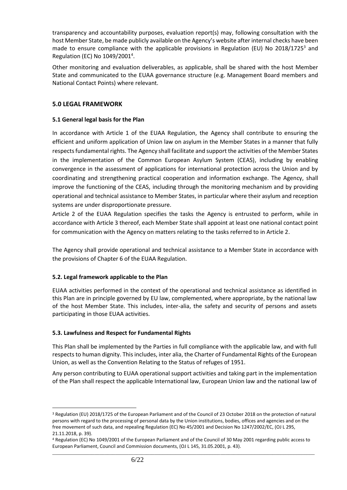transparency and accountability purposes, evaluation report(s) may, following consultation with the host Member State, be made publicly available on the Agency's website after internal checks have been made to ensure compliance with the applicable provisions in Regulation (EU) No 2018/1725<sup>3</sup> and Regulation (EC) No 1049/2001<sup>4</sup>.

Other monitoring and evaluation deliverables, as applicable, shall be shared with the host Member State and communicated to the EUAA governance structure (e.g. Management Board members and National Contact Points) where relevant.

## **5.0 LEGAL FRAMEWORK**

## **5.1 General legal basis for the Plan**

In accordance with Article 1 of the EUAA Regulation, the Agency shall contribute to ensuring the efficient and uniform application of Union law on asylum in the Member States in a manner that fully respects fundamental rights. The Agency shall facilitate and support the activities of the Member States in the implementation of the Common European Asylum System (CEAS), including by enabling convergence in the assessment of applications for international protection across the Union and by coordinating and strengthening practical cooperation and information exchange. The Agency, shall improve the functioning of the CEAS, including through the monitoring mechanism and by providing operational and technical assistance to Member States, in particular where their asylum and reception systems are under disproportionate pressure.

Article 2 of the EUAA Regulation specifies the tasks the Agency is entrusted to perform, while in accordance with Article 3 thereof, each Member State shall appoint at least one national contact point for communication with the Agency on matters relating to the tasks referred to in Article 2.

The Agency shall provide operational and technical assistance to a Member State in accordance with the provisions of Chapter 6 of the EUAA Regulation.

# **5.2. Legal framework applicable to the Plan**

EUAA activities performed in the context of the operational and technical assistance as identified in this Plan are in principle governed by EU law, complemented, where appropriate, by the national law of the host Member State. This includes, inter-alia, the safety and security of persons and assets participating in those EUAA activities.

## **5.3. Lawfulness and Respect for Fundamental Rights**

This Plan shall be implemented by the Parties in full compliance with the applicable law, and with full respects to human dignity. This includes, inter alia, the Charter of Fundamental Rights of the European Union, as well as the Convention Relating to the Status of refuges of 1951.

Any person contributing to EUAA operational support activities and taking part in the implementation of the Plan shall respect the applicable International law, European Union law and the national law of

<sup>3</sup> Regulation (EU) 2018/1725 of the European Parliament and of the Council of 23 October 2018 on the protection of natural persons with regard to the processing of personal data by the Union institutions, bodies, offices and agencies and on the free movement of such data, and repealing Regulation (EC) No 45/2001 and Decision No 1247/2002/EC, (OJ L 295, 21.11.2018, p. 39).

\_\_\_\_\_\_\_\_\_\_\_\_\_\_\_\_\_\_\_\_\_\_\_\_\_\_\_\_\_\_\_\_\_\_\_\_\_\_\_\_\_\_\_\_\_\_\_\_\_\_\_\_\_\_\_\_\_\_\_\_\_\_\_\_\_\_\_\_\_\_\_\_\_\_\_\_\_\_\_\_\_\_\_\_\_\_\_\_\_\_\_\_\_\_\_\_\_\_\_\_ <sup>4</sup> Regulation (EC) No 1049/2001 of the European Parliament and of the Council of 30 May 2001 regarding public access to European Parliament, Council and Commission documents, (OJ L 145, 31.05.2001, p. 43).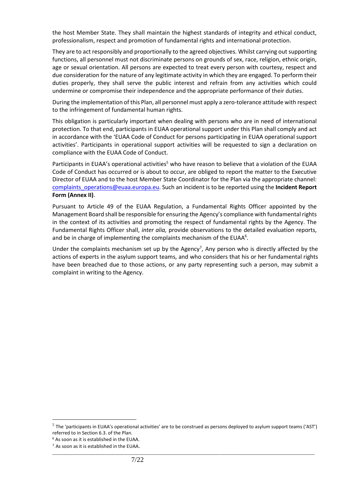the host Member State. They shall maintain the highest standards of integrity and ethical conduct, professionalism, respect and promotion of fundamental rights and international protection.

They are to act responsibly and proportionally to the agreed objectives. Whilst carrying out supporting functions, all personnel must not discriminate persons on grounds of sex, race, religion, ethnic origin, age or sexual orientation. All persons are expected to treat every person with courtesy, respect and due consideration for the nature of any legitimate activity in which they are engaged. To perform their duties properly, they shall serve the public interest and refrain from any activities which could undermine or compromise their independence and the appropriate performance of their duties.

During the implementation of this Plan, all personnel must apply a zero-tolerance attitude with respect to the infringement of fundamental human rights.

This obligation is particularly important when dealing with persons who are in need of international protection. To that end, participants in EUAA operational support under this Plan shall comply and act in accordance with the 'EUAA Code of Conduct for persons participating in EUAA operational support activities'. Participants in operational support activities will be requested to sign a declaration on compliance with the EUAA Code of Conduct.

Participants in EUAA's operational activities<sup>5</sup> who have reason to believe that a violation of the EUAA Code of Conduct has occurred or is about to occur, are obliged to report the matter to the Executive Director of EUAA and to the host Member State Coordinator for the Plan via the appropriate channel: [complaints\\_operations@euaa.europa.eu.](mailto:complaints_operations@euaa.europa.eu) Such an incident is to be reported using the **Incident Report Form (Annex II)**.

Pursuant to Article 49 of the EUAA Regulation, a Fundamental Rights Officer appointed by the Management Board shall be responsible for ensuring the Agency's compliance with fundamental rights in the context of its activities and promoting the respect of fundamental rights by the Agency. The Fundamental Rights Officer shall, *inter alia,* provide observations to the detailed evaluation reports, and be in charge of implementing the complaints mechanism of the EUAA<sup>6</sup>.

Under the complaints mechanism set up by the Agency<sup>7</sup>, Any person who is directly affected by the actions of experts in the asylum support teams, and who considers that his or her fundamental rights have been breached due to those actions, or any party representing such a person, may submit a complaint in writing to the Agency.

 $^5$  The 'participants in EUAA's operational activities' are to be construed as persons deployed to asylum support teams ('AST') referred to in Section 6.3. of the Plan.

<sup>6</sup> As soon as it is established in the EUAA.

\_\_\_\_\_\_\_\_\_\_\_\_\_\_\_\_\_\_\_\_\_\_\_\_\_\_\_\_\_\_\_\_\_\_\_\_\_\_\_\_\_\_\_\_\_\_\_\_\_\_\_\_\_\_\_\_\_\_\_\_\_\_\_\_\_\_\_\_\_\_\_\_\_\_\_\_\_\_\_\_\_\_\_\_\_\_\_\_\_\_\_\_\_\_\_\_\_\_\_\_ <sup>7</sup> As soon as it is established in the EUAA.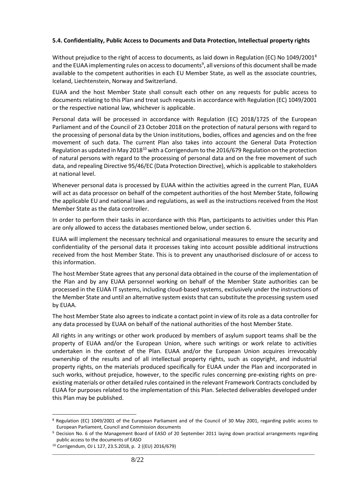## **5.4. Confidentiality, Public Access to Documents and Data Protection, Intellectual property rights**

Without prejudice to the right of access to documents, as laid down in Regulation (EC) No 1049/2001<sup>8</sup> and the EUAA implementing rules on access to documents<sup>9</sup>, all versions of this document shall be made available to the competent authorities in each EU Member State, as well as the associate countries, Iceland, Liechtenstein, Norway and Switzerland.

EUAA and the host Member State shall consult each other on any requests for public access to documents relating to this Plan and treat such requests in accordance with Regulation (EC) 1049/2001 or the respective national law, whichever is applicable.

Personal data will be processed in accordance with Regulation (EC) 2018/1725 of the European Parliament and of the Council of 23 October 2018 on the protection of natural persons with regard to the processing of personal data by the Union institutions, bodies, offices and agencies and on the free movement of such data. The current Plan also takes into account the General Data Protection Regulation as updated in May 2018<sup>10</sup> with a Corrigendum to the 2016/679 Regulation on the protection of natural persons with regard to the processing of personal data and on the free movement of such data, and repealing Directive 95/46/EC (Data Protection Directive), which is applicable to stakeholders at national level.

Whenever personal data is processed by EUAA within the activities agreed in the current Plan, EUAA will act as data processor on behalf of the competent authorities of the host Member State, following the applicable EU and national laws and regulations, as well as the instructions received from the Host Member State as the data controller.

In order to perform their tasks in accordance with this Plan, participants to activities under this Plan are only allowed to access the databases mentioned below, under section 6.

EUAA will implement the necessary technical and organisational measures to ensure the security and confidentiality of the personal data it processes taking into account possible additional instructions received from the host Member State. This is to prevent any unauthorised disclosure of or access to this information.

The host Member State agrees that any personal data obtained in the course of the implementation of the Plan and by any EUAA personnel working on behalf of the Member State authorities can be processed in the EUAA IT systems, including cloud-based systems, exclusively under the instructions of the Member State and until an alternative system exists that can substitute the processing system used by EUAA.

The host Member State also agrees to indicate a contact point in view of its role as a data controller for any data processed by EUAA on behalf of the national authorities of the host Member State.

All rights in any writings or other work produced by members of asylum support teams shall be the property of EUAA and/or the European Union, where such writings or work relate to activities undertaken in the context of the Plan. EUAA and/or the European Union acquires irrevocably ownership of the results and of all intellectual property rights, such as copyright, and industrial property rights, on the materials produced specifically for EUAA under the Plan and incorporated in such works, without prejudice, however, to the specific rules concerning pre-existing rights on preexisting materials or other detailed rules contained in the relevant Framework Contracts concluded by EUAA for purposes related to the implementation of this Plan. Selected deliverables developed under this Plan may be published.

<sup>8</sup> Regulation (EC) 1049/2001 of the European Parliament and of the Council of 30 May 2001, regarding public access to European Parliament, Council and Commission documents

<sup>9</sup> Decision No. 6 of the Management Board of EASO of 20 September 2011 laying down practical arrangements regarding public access to the documents of EASO

<sup>10</sup> Corrigendum, OJ L 127, 23.5.2018, p. 2 ((EU) 2016/679)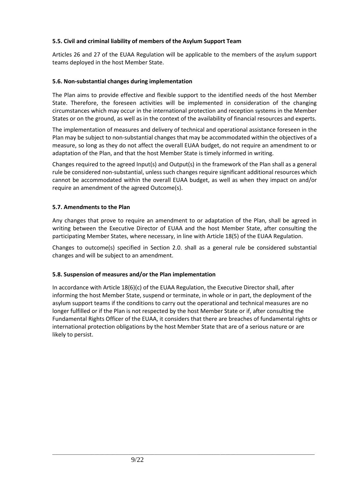# **5.5. Civil and criminal liability of members of the Asylum Support Team**

Articles 26 and 27 of the EUAA Regulation will be applicable to the members of the asylum support teams deployed in the host Member State.

## **5.6. Non-substantial changes during implementation**

The Plan aims to provide effective and flexible support to the identified needs of the host Member State. Therefore, the foreseen activities will be implemented in consideration of the changing circumstances which may occur in the international protection and reception systems in the Member States or on the ground, as well as in the context of the availability of financial resources and experts.

The implementation of measures and delivery of technical and operational assistance foreseen in the Plan may be subject to non-substantial changes that may be accommodated within the objectives of a measure, so long as they do not affect the overall EUAA budget, do not require an amendment to or adaptation of the Plan, and that the host Member State is timely informed in writing.

Changes required to the agreed Input(s) and Output(s) in the framework of the Plan shall as a general rule be considered non-substantial, unless such changes require significant additional resources which cannot be accommodated within the overall EUAA budget, as well as when they impact on and/or require an amendment of the agreed Outcome(s).

## **5.7. Amendments to the Plan**

Any changes that prove to require an amendment to or adaptation of the Plan, shall be agreed in writing between the Executive Director of EUAA and the host Member State, after consulting the participating Member States, where necessary, in line with Article 18(5) of the EUAA Regulation.

Changes to outcome(s) specified in Section 2.0. shall as a general rule be considered substantial changes and will be subject to an amendment.

## **5.8. Suspension of measures and/or the Plan implementation**

In accordance with Article 18(6)(c) of the EUAA Regulation, the Executive Director shall, after informing the host Member State, suspend or terminate, in whole or in part, the deployment of the asylum support teams if the conditions to carry out the operational and technical measures are no longer fulfilled or if the Plan is not respected by the host Member State or if, after consulting the Fundamental Rights Officer of the EUAA, it considers that there are breaches of fundamental rights or international protection obligations by the host Member State that are of a serious nature or are likely to persist.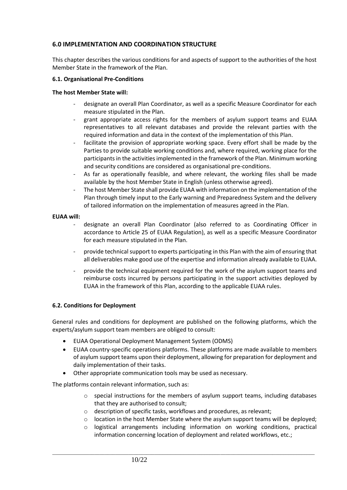# **6.0 IMPLEMENTATION AND COORDINATION STRUCTURE**

This chapter describes the various conditions for and aspects of support to the authorities of the host Member State in the framework of the Plan.

#### **6.1. Organisational Pre-Conditions**

#### **The host Member State will:**

- designate an overall Plan Coordinator, as well as a specific Measure Coordinator for each measure stipulated in the Plan.
- grant appropriate access rights for the members of asylum support teams and EUAA representatives to all relevant databases and provide the relevant parties with the required information and data in the context of the implementation of this Plan.
- facilitate the provision of appropriate working space. Every effort shall be made by the Parties to provide suitable working conditions and, where required, working place for the participants in the activities implemented in the framework of the Plan. Minimum working and security conditions are considered as organisational pre-conditions.
- As far as operationally feasible, and where relevant, the working files shall be made available by the host Member State in English (unless otherwise agreed).
- The host Member State shall provide EUAA with information on the implementation of the Plan through timely input to the Early warning and Preparedness System and the delivery of tailored information on the implementation of measures agreed in the Plan.

#### **EUAA will:**

- designate an overall Plan Coordinator (also referred to as Coordinating Officer in accordance to Article 25 of EUAA Regulation), as well as a specific Measure Coordinator for each measure stipulated in the Plan.
- provide technical support to experts participating in this Plan with the aim of ensuring that all deliverables make good use of the expertise and information already available to EUAA.
- provide the technical equipment required for the work of the asylum support teams and reimburse costs incurred by persons participating in the support activities deployed by EUAA in the framework of this Plan, according to the applicable EUAA rules.

## **6.2. Conditions for Deployment**

General rules and conditions for deployment are published on the following platforms, which the experts/asylum support team members are obliged to consult:

- EUAA Operational Deployment Management System (ODMS)
- EUAA country-specific operations platforms. These platforms are made available to members of asylum support teams upon their deployment, allowing for preparation for deployment and daily implementation of their tasks.
- Other appropriate communication tools may be used as necessary.

The platforms contain relevant information, such as:

- $\circ$  special instructions for the members of asylum support teams, including databases that they are authorised to consult;
- o description of specific tasks, workflows and procedures, as relevant;

- $\circ$  location in the host Member State where the asylum support teams will be deployed;
- o logistical arrangements including information on working conditions, practical information concerning location of deployment and related workflows, etc.;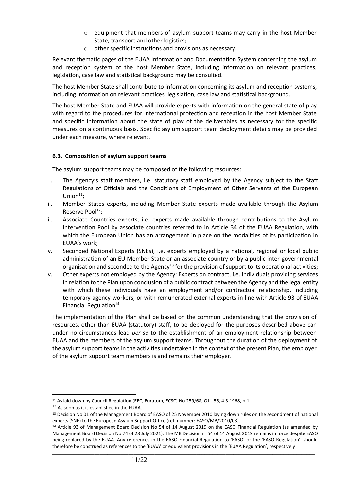- o equipment that members of asylum support teams may carry in the host Member State, transport and other logistics;
- o other specific instructions and provisions as necessary.

Relevant thematic pages of the EUAA Information and Documentation System concerning the asylum and reception system of the host Member State, including information on relevant practices, legislation, case law and statistical background may be consulted.

The host Member State shall contribute to information concerning its asylum and reception systems, including information on relevant practices, legislation, case law and statistical background.

The host Member State and EUAA will provide experts with information on the general state of play with regard to the procedures for international protection and reception in the host Member State and specific information about the state of play of the deliverables as necessary for the specific measures on a continuous basis. Specific asylum support team deployment details may be provided under each measure, where relevant.

#### **6.3. Composition of asylum support teams**

The asylum support teams may be composed of the following resources:

- i. The Agency's staff members, i.e. statutory staff employed by the Agency subject to the Staff Regulations of Officials and the Conditions of Employment of Other Servants of the European Union $11$ :
- ii. Member States experts, including Member State experts made available through the Asylum Reserve Pool<sup>12</sup>;
- iii. Associate Countries experts, i.e. experts made available through contributions to the Asylum Intervention Pool by associate countries referred to in Article 34 of the EUAA Regulation, with which the European Union has an arrangement in place on the modalities of its participation in EUAA's work;
- iv. Seconded National Experts (SNEs), i.e. experts employed by a national, regional or local public administration of an EU Member State or an associate country or by a public inter-governmental organisation and seconded to the Agency<sup>13</sup> for the provision of support to its operational activities;
- v. Other experts not employed by the Agency: Experts on contract, i.e. individuals providing services in relation to the Plan upon conclusion of a public contract between the Agency and the legal entity with which these individuals have an employment and/or contractual relationship, including temporary agency workers, or with remunerated external experts in line with Article 93 of EUAA Financial Regulation<sup>14</sup>.

The implementation of the Plan shall be based on the common understanding that the provision of resources, other than EUAA (statutory) staff, to be deployed for the purposes described above can under no circumstances lead *per se* to the establishment of an employment relationship between EUAA and the members of the asylum support teams. Throughout the duration of the deployment of the asylum support teams in the activities undertaken in the context of the present Plan, the employer of the asylum support team members is and remains their employer.

<sup>&</sup>lt;sup>11</sup> As laid down by Council Regulation (EEC, Euratom, ECSC) No 259/68, OJ L 56, 4.3.1968, p.1.

 $12$  As soon as it is established in the EUAA.

<sup>&</sup>lt;sup>13</sup> Decision No 01 of the Management Board of EASO of 25 November 2010 laying down rules on the secondment of national experts (SNE) to the European Asylum Support Office (ref. number: EASO/MB/2010/03).

<sup>&</sup>lt;sup>14</sup> Article 93 of Management Board Decision No 54 of 14 August 2019 on the EASO Financial Regulation (as amended by Management Board Decision No 74 of 28 July 2021). The MB Decision nr 54 of 14 August 2019 remains in force despite EASO being replaced by the EUAA. Any references in the EASO Financial Regulation to 'EASO' or the 'EASO Regulation', should therefore be construed as references to the 'EUAA' or equivalent provisions in the 'EUAA Regulation', respectively.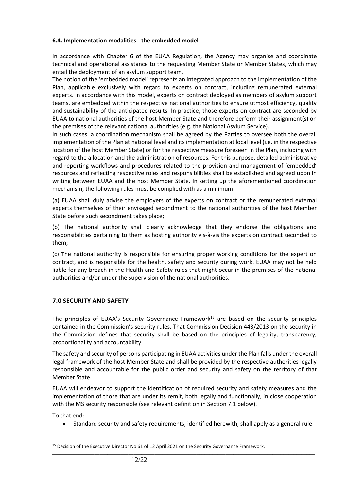## **6.4. Implementation modalities - the embedded model**

In accordance with Chapter 6 of the EUAA Regulation, the Agency may organise and coordinate technical and operational assistance to the requesting Member State or Member States, which may entail the deployment of an asylum support team.

The notion of the 'embedded model' represents an integrated approach to the implementation of the Plan, applicable exclusively with regard to experts on contract, including remunerated external experts. In accordance with this model, experts on contract deployed as members of asylum support teams, are embedded within the respective national authorities to ensure utmost efficiency, quality and sustainability of the anticipated results. In practice, those experts on contract are seconded by EUAA to national authorities of the host Member State and therefore perform their assignment(s) on the premises of the relevant national authorities (e.g. the National Asylum Service).

In such cases, a coordination mechanism shall be agreed by the Parties to oversee both the overall implementation of the Plan at national level and its implementation at local level (i.e. in the respective location of the host Member State) or for the respective measure foreseen in the Plan, including with regard to the allocation and the administration of resources. For this purpose, detailed administrative and reporting workflows and procedures related to the provision and management of 'embedded' resources and reflecting respective roles and responsibilities shall be established and agreed upon in writing between EUAA and the host Member State. In setting up the aforementioned coordination mechanism, the following rules must be complied with as a minimum:

(a) EUAA shall duly advise the employers of the experts on contract or the remunerated external experts themselves of their envisaged secondment to the national authorities of the host Member State before such secondment takes place;

(b) The national authority shall clearly acknowledge that they endorse the obligations and responsibilities pertaining to them as hosting authority vis-à-vis the experts on contract seconded to them;

(c) The national authority is responsible for ensuring proper working conditions for the expert on contract, and is responsible for the health, safety and security during work. EUAA may not be held liable for any breach in the Health and Safety rules that might occur in the premises of the national authorities and/or under the supervision of the national authorities.

# **7.0 SECURITY AND SAFETY**

The principles of EUAA's Security Governance Framework<sup>15</sup> are based on the security principles contained in the Commission's security rules. That Commission Decision 443/2013 on the security in the Commission defines that security shall be based on the principles of legality, transparency, proportionality and accountability.

The safety and security of persons participating in EUAA activities under the Plan falls under the overall legal framework of the host Member State and shall be provided by the respective authorities legally responsible and accountable for the public order and security and safety on the territory of that Member State.

EUAA will endeavor to support the identification of required security and safety measures and the implementation of those that are under its remit, both legally and functionally, in close cooperation with the MS security responsible (see relevant definition in Section 7.1 below).

To that end:

• Standard security and safety requirements, identified herewith, shall apply as a general rule.

<sup>15</sup> Decision of the Executive Director No 61 of 12 April 2021 on the Security Governance Framework.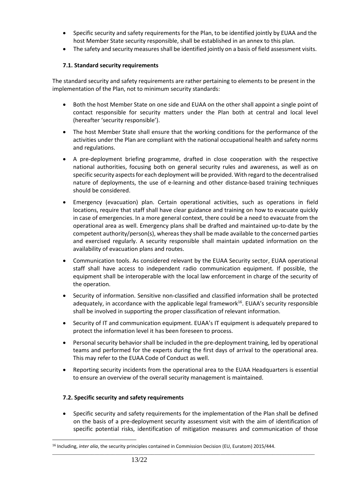- Specific security and safety requirements for the Plan, to be identified jointly by EUAA and the host Member State security responsible, shall be established in an annex to this plan.
- The safety and security measures shall be identified jointly on a basis of field assessment visits.

# **7.1. Standard security requirements**

The standard security and safety requirements are rather pertaining to elements to be present in the implementation of the Plan, not to minimum security standards:

- Both the host Member State on one side and EUAA on the other shall appoint a single point of contact responsible for security matters under the Plan both at central and local level (hereafter 'security responsible').
- The host Member State shall ensure that the working conditions for the performance of the activities under the Plan are compliant with the national occupational health and safety norms and regulations.
- A pre-deployment briefing programme, drafted in close cooperation with the respective national authorities, focusing both on general security rules and awareness, as well as on specific security aspects for each deployment will be provided. With regard to the decentralised nature of deployments, the use of e-learning and other distance-based training techniques should be considered.
- Emergency (evacuation) plan. Certain operational activities, such as operations in field locations, require that staff shall have clear guidance and training on how to evacuate quickly in case of emergencies. In a more general context, there could be a need to evacuate from the operational area as well. Emergency plans shall be drafted and maintained up-to-date by the competent authority/person(s), whereas they shall be made available to the concerned parties and exercised regularly. A security responsible shall maintain updated information on the availability of evacuation plans and routes.
- Communication tools. As considered relevant by the EUAA Security sector, EUAA operational staff shall have access to independent radio communication equipment. If possible, the equipment shall be interoperable with the local law enforcement in charge of the security of the operation.
- Security of information. Sensitive non-classified and classified information shall be protected adequately, in accordance with the applicable legal framework<sup>16</sup>. EUAA's security responsible shall be involved in supporting the proper classification of relevant information.
- Security of IT and communication equipment. EUAA's IT equipment is adequately prepared to protect the information level it has been foreseen to process.
- Personal security behavior shall be included in the pre-deployment training, led by operational teams and performed for the experts during the first days of arrival to the operational area. This may refer to the EUAA Code of Conduct as well.
- Reporting security incidents from the operational area to the EUAA Headquarters is essential to ensure an overview of the overall security management is maintained.

# **7.2. Specific security and safety requirements**

• Specific security and safety requirements for the implementation of the Plan shall be defined on the basis of a pre-deployment security assessment visit with the aim of identification of specific potential risks, identification of mitigation measures and communication of those

<sup>16</sup> Including, *inter alia*, the security principles contained in Commission Decision (EU, Euratom) 2015/444.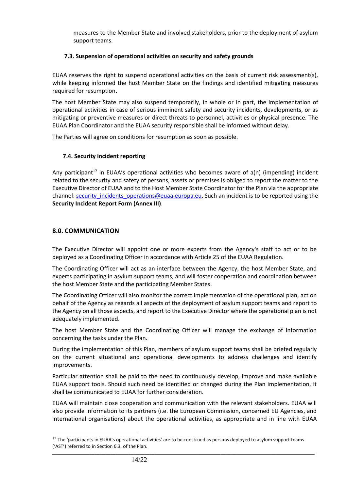measures to the Member State and involved stakeholders, prior to the deployment of asylum support teams.

## **7.3. Suspension of operational activities on security and safety grounds**

EUAA reserves the right to suspend operational activities on the basis of current risk assessment(s), while keeping informed the host Member State on the findings and identified mitigating measures required for resumption**.**

The host Member State may also suspend temporarily, in whole or in part, the implementation of operational activities in case of serious imminent safety and security incidents, developments, or as mitigating or preventive measures or direct threats to personnel, activities or physical presence. The EUAA Plan Coordinator and the EUAA security responsible shall be informed without delay.

The Parties will agree on conditions for resumption as soon as possible.

# **7.4. Security incident reporting**

Any participant<sup>17</sup> in EUAA's operational activities who becomes aware of  $a(n)$  (impending) incident related to the security and safety of persons, assets or premises is obliged to report the matter to the Executive Director of EUAA and to the Host Member State Coordinator for the Plan via the appropriate channel[: security\\_incidents\\_operations@euaa.europa.eu.](mailto:security_incidents_operations@euaa.europa.eu) Such an incident is to be reported using the **Security Incident Report Form (Annex III)**.

# **8.0. COMMUNICATION**

The Executive Director will appoint one or more experts from the Agency's staff to act or to be deployed as a Coordinating Officer in accordance with Article 25 of the EUAA Regulation.

The Coordinating Officer will act as an interface between the Agency, the host Member State, and experts participating in asylum support teams, and will foster cooperation and coordination between the host Member State and the participating Member States.

The Coordinating Officer will also monitor the correct implementation of the operational plan, act on behalf of the Agency as regards all aspects of the deployment of asylum support teams and report to the Agency on all those aspects, and report to the Executive Director where the operational plan is not adequately implemented.

The host Member State and the Coordinating Officer will manage the exchange of information concerning the tasks under the Plan.

During the implementation of this Plan, members of asylum support teams shall be briefed regularly on the current situational and operational developments to address challenges and identify improvements.

Particular attention shall be paid to the need to continuously develop, improve and make available EUAA support tools. Should such need be identified or changed during the Plan implementation, it shall be communicated to EUAA for further consideration.

EUAA will maintain close cooperation and communication with the relevant stakeholders. EUAA will also provide information to its partners (i.e. the European Commission, concerned EU Agencies, and international organisations) about the operational activities, as appropriate and in line with EUAA

 $17$  The 'participants in EUAA's operational activities' are to be construed as persons deployed to asylum support teams ('AST') referred to in Section 6.3. of the Plan.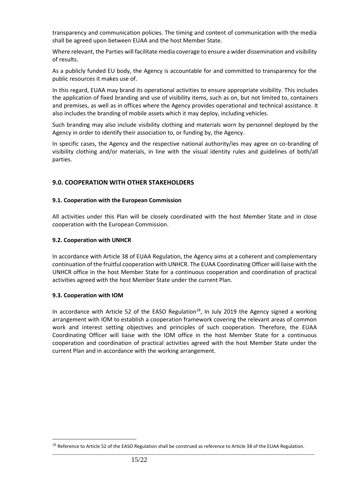transparency and communication policies. The timing and content of communication with the media shall be agreed upon between EUAA and the host Member State.

Where relevant, the Parties will facilitate media coverage to ensure a wider dissemination and visibility of results.

As a publicly funded EU body, the Agency is accountable for and committed to transparency for the public resources it makes use of.

In this regard, EUAA may brand its operational activities to ensure appropriate visibility. This includes the application of fixed branding and use of visibility items, such as on, but not limited to, containers and premises, as well as in offices where the Agency provides operational and technical assistance. It also includes the branding of mobile assets which it may deploy, including vehicles.

Such branding may also include visibility clothing and materials worn by personnel deployed by the Agency in order to identify their association to, or funding by, the Agency.

In specific cases, the Agency and the respective national authority/ies may agree on co-branding of visibility clothing and/or materials, in line with the visual identity rules and guidelines of both/all parties.

## **9.0. COOPERATION WITH OTHER STAKEHOLDERS**

#### **9.1. Cooperation with the European Commission**

All activities under this Plan will be closely coordinated with the host Member State and in close cooperation with the European Commission.

#### **9.2. Cooperation with UNHCR**

In accordance with Article 38 of EUAA Regulation, the Agency aims at a coherent and complementary continuation of the fruitful cooperation with UNHCR. The EUAA Coordinating Officer will liaise with the UNHCR office in the host Member State for a continuous cooperation and coordination of practical activities agreed with the host Member State under the current Plan.

#### **9.3. Cooperation with IOM**

In accordance with Article 52 of the EASO Regulation<sup>18</sup>, In July 2019 the Agency signed a working arrangement with IOM to establish a cooperation framework covering the relevant areas of common work and interest setting objectives and principles of such cooperation. Therefore, the EUAA Coordinating Officer will liaise with the IOM office in the host Member State for a continuous cooperation and coordination of practical activities agreed with the host Member State under the current Plan and in accordance with the working arrangement.

 $18$  Reference to Article 52 of the EASO Regulation shall be construed as reference to Article 38 of the EUAA Regulation.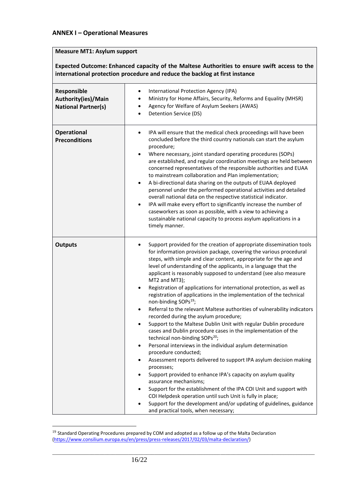## **ANNEX I – Operational Measures**

## **Measure MT1: Asylum support**

**Expected Outcome: Enhanced capacity of the Maltese Authorities to ensure swift access to the international protection procedure and reduce the backlog at first instance**

| Responsible<br>Authority(ies)/Main<br><b>National Partner(s)</b> | International Protection Agency (IPA)<br>٠<br>Ministry for Home Affairs, Security, Reforms and Equality (MHSR)<br>٠<br>Agency for Welfare of Asylum Seekers (AWAS)<br>$\bullet$<br>Detention Service (DS)                                                                                                                                                                                                                                                                                                                                                                                                                                                                                                                                                                                                                                                                                                                                                                                                                                                                                                                                                                                                                                                                                                                                                                                                                                     |
|------------------------------------------------------------------|-----------------------------------------------------------------------------------------------------------------------------------------------------------------------------------------------------------------------------------------------------------------------------------------------------------------------------------------------------------------------------------------------------------------------------------------------------------------------------------------------------------------------------------------------------------------------------------------------------------------------------------------------------------------------------------------------------------------------------------------------------------------------------------------------------------------------------------------------------------------------------------------------------------------------------------------------------------------------------------------------------------------------------------------------------------------------------------------------------------------------------------------------------------------------------------------------------------------------------------------------------------------------------------------------------------------------------------------------------------------------------------------------------------------------------------------------|
| <b>Operational</b><br><b>Preconditions</b>                       | IPA will ensure that the medical check proceedings will have been<br>٠<br>concluded before the third country nationals can start the asylum<br>procedure;<br>Where necessary, joint standard operating procedures (SOPs)<br>$\bullet$<br>are established, and regular coordination meetings are held between<br>concerned representatives of the responsible authorities and EUAA<br>to mainstream collaboration and Plan implementation;<br>A bi-directional data sharing on the outputs of EUAA deployed<br>$\bullet$<br>personnel under the performed operational activities and detailed<br>overall national data on the respective statistical indicator.<br>IPA will make every effort to significantly increase the number of<br>$\bullet$<br>caseworkers as soon as possible, with a view to achieving a<br>sustainable national capacity to process asylum applications in a<br>timely manner.                                                                                                                                                                                                                                                                                                                                                                                                                                                                                                                                       |
| <b>Outputs</b>                                                   | Support provided for the creation of appropriate dissemination tools<br>$\bullet$<br>for information provision package, covering the various procedural<br>steps, with simple and clear content, appropriate for the age and<br>level of understanding of the applicants, in a language that the<br>applicant is reasonably supposed to understand (see also measure<br>MT2 and MT3);<br>Registration of applications for international protection, as well as<br>$\bullet$<br>registration of applications in the implementation of the technical<br>non-binding SOPs <sup>19</sup> ;<br>Referral to the relevant Maltese authorities of vulnerability indicators<br>$\bullet$<br>recorded during the asylum procedure;<br>Support to the Maltese Dublin Unit with regular Dublin procedure<br>cases and Dublin procedure cases in the implementation of the<br>technical non-binding SOPs <sup>20</sup> ;<br>Personal interviews in the individual asylum determination<br>procedure conducted;<br>Assessment reports delivered to support IPA asylum decision making<br>$\bullet$<br>processes;<br>Support provided to enhance IPA's capacity on asylum quality<br>assurance mechanisms;<br>Support for the establishment of the IPA COI Unit and support with<br>COI Helpdesk operation until such Unit is fully in place;<br>Support for the development and/or updating of guidelines, guidance<br>and practical tools, when necessary; |

 $19$  Standard Operating Procedures prepared by COM and adopted as a follow up of the Malta Declaration [\(https://www.consilium.europa.eu/en/press/press-releases/2017/02/03/malta-declaration/\)](https://www.consilium.europa.eu/en/press/press-releases/2017/02/03/malta-declaration/)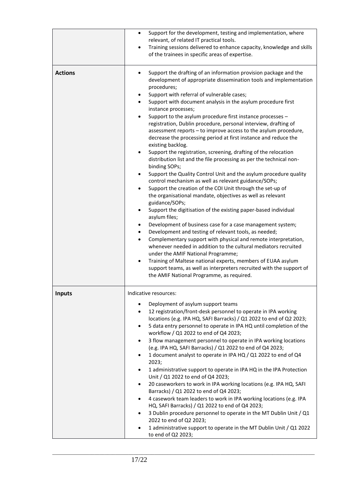|                | Support for the development, testing and implementation, where<br>$\bullet$<br>relevant, of related IT practical tools.<br>Training sessions delivered to enhance capacity, knowledge and skills<br>$\bullet$                                                                                                                                                                                                                                                                                                                                                                                                                                                                                                                                                                                                                                                                                                                                                                                                                                                                                                                                                                                                                                                                                                                                                                                                                                                                                                                                                                                                                                                                                                            |
|----------------|--------------------------------------------------------------------------------------------------------------------------------------------------------------------------------------------------------------------------------------------------------------------------------------------------------------------------------------------------------------------------------------------------------------------------------------------------------------------------------------------------------------------------------------------------------------------------------------------------------------------------------------------------------------------------------------------------------------------------------------------------------------------------------------------------------------------------------------------------------------------------------------------------------------------------------------------------------------------------------------------------------------------------------------------------------------------------------------------------------------------------------------------------------------------------------------------------------------------------------------------------------------------------------------------------------------------------------------------------------------------------------------------------------------------------------------------------------------------------------------------------------------------------------------------------------------------------------------------------------------------------------------------------------------------------------------------------------------------------|
|                | of the trainees in specific areas of expertise.                                                                                                                                                                                                                                                                                                                                                                                                                                                                                                                                                                                                                                                                                                                                                                                                                                                                                                                                                                                                                                                                                                                                                                                                                                                                                                                                                                                                                                                                                                                                                                                                                                                                          |
| <b>Actions</b> | Support the drafting of an information provision package and the<br>٠<br>development of appropriate dissemination tools and implementation<br>procedures;<br>Support with referral of vulnerable cases;<br>Support with document analysis in the asylum procedure first<br>$\bullet$<br>instance processes;<br>Support to the asylum procedure first instance processes -<br>$\bullet$<br>registration, Dublin procedure, personal interview, drafting of<br>assessment reports - to improve access to the asylum procedure,<br>decrease the processing period at first instance and reduce the<br>existing backlog.<br>Support the registration, screening, drafting of the relocation<br>$\bullet$<br>distribution list and the file processing as per the technical non-<br>binding SOPs;<br>Support the Quality Control Unit and the asylum procedure quality<br>٠<br>control mechanism as well as relevant guidance/SOPs;<br>Support the creation of the COI Unit through the set-up of<br>$\bullet$<br>the organisational mandate, objectives as well as relevant<br>guidance/SOPs;<br>Support the digitisation of the existing paper-based individual<br>$\bullet$<br>asylum files;<br>Development of business case for a case management system;<br>Development and testing of relevant tools, as needed;<br>$\bullet$<br>Complementary support with physical and remote interpretation,<br>$\bullet$<br>whenever needed in addition to the cultural mediators recruited<br>under the AMIF National Programme;<br>Training of Maltese national experts, members of EUAA asylum<br>$\bullet$<br>support teams, as well as interpreters recruited with the support of<br>the AMIF National Programme, as required. |
| <b>Inputs</b>  | Indicative resources:<br>Deployment of asylum support teams<br>$\bullet$<br>12 registration/front-desk personnel to operate in IPA working<br>$\bullet$<br>locations (e.g. IPA HQ, SAFI Barracks) / Q1 2022 to end of Q2 2023;<br>5 data entry personnel to operate in IPA HQ until completion of the<br>$\bullet$<br>workflow / Q1 2022 to end of Q4 2023;<br>3 flow management personnel to operate in IPA working locations<br>$\bullet$<br>(e.g. IPA HQ, SAFI Barracks) / Q1 2022 to end of Q4 2023;<br>1 document analyst to operate in IPA HQ / Q1 2022 to end of Q4<br>٠<br>2023;<br>1 administrative support to operate in IPA HQ in the IPA Protection<br>٠<br>Unit / Q1 2022 to end of Q4 2023;<br>20 caseworkers to work in IPA working locations (e.g. IPA HQ, SAFI<br>$\bullet$<br>Barracks) / Q1 2022 to end of Q4 2023;<br>4 casework team leaders to work in IPA working locations (e.g. IPA<br>$\bullet$<br>HQ, SAFI Barracks) / Q1 2022 to end of Q4 2023;<br>3 Dublin procedure personnel to operate in the MT Dublin Unit / Q1<br>$\bullet$<br>2022 to end of Q2 2023;<br>1 administrative support to operate in the MT Dublin Unit / Q1 2022<br>$\bullet$<br>to end of Q2 2023;                                                                                                                                                                                                                                                                                                                                                                                                                                                                                                                     |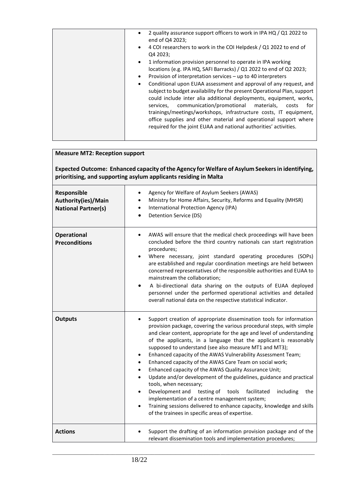| 2 quality assurance support officers to work in IPA HQ / Q1 2022 to<br>end of Q4 2023;                                                                                                                                                                                                                                                                                                                                                                                                                                                                                                                                                                                                                                                                 |
|--------------------------------------------------------------------------------------------------------------------------------------------------------------------------------------------------------------------------------------------------------------------------------------------------------------------------------------------------------------------------------------------------------------------------------------------------------------------------------------------------------------------------------------------------------------------------------------------------------------------------------------------------------------------------------------------------------------------------------------------------------|
| 4 COI researchers to work in the COI Helpdesk / Q1 2022 to end of<br>$\bullet$<br>Q4 2023:                                                                                                                                                                                                                                                                                                                                                                                                                                                                                                                                                                                                                                                             |
| 1 information provision personnel to operate in IPA working<br>$\bullet$<br>locations (e.g. IPA HQ, SAFI Barracks) / Q1 2022 to end of Q2 2023;<br>Provision of interpretation services - up to 40 interpreters<br>$\bullet$<br>Conditional upon EUAA assessment and approval of any request, and<br>$\bullet$<br>subject to budget availability for the present Operational Plan, support<br>could include inter alia additional deployments, equipment, works,<br>communication/promotional<br>materials,<br>services,<br>for<br>costs<br>trainings/meetings/workshops, infrastructure costs, IT equipment,<br>office supplies and other material and operational support where<br>required for the joint EUAA and national authorities' activities. |
|                                                                                                                                                                                                                                                                                                                                                                                                                                                                                                                                                                                                                                                                                                                                                        |

| <b>Measure MT2: Reception support</b><br>Expected Outcome: Enhanced capacity of the Agency for Welfare of Asylum Seekers in identifying,<br>prioritising, and supporting asylum applicants residing in Malta |                                                                                                                                                                                                                                                                                                                                                                                                                                                                                                                                                                                                                                                                                                                                                                                                                                                                                                                                                      |  |
|--------------------------------------------------------------------------------------------------------------------------------------------------------------------------------------------------------------|------------------------------------------------------------------------------------------------------------------------------------------------------------------------------------------------------------------------------------------------------------------------------------------------------------------------------------------------------------------------------------------------------------------------------------------------------------------------------------------------------------------------------------------------------------------------------------------------------------------------------------------------------------------------------------------------------------------------------------------------------------------------------------------------------------------------------------------------------------------------------------------------------------------------------------------------------|--|
| Responsible<br>Authority(ies)/Main<br><b>National Partner(s)</b>                                                                                                                                             | Agency for Welfare of Asylum Seekers (AWAS)<br>$\bullet$<br>Ministry for Home Affairs, Security, Reforms and Equality (MHSR)<br>International Protection Agency (IPA)<br>$\bullet$<br>Detention Service (DS)                                                                                                                                                                                                                                                                                                                                                                                                                                                                                                                                                                                                                                                                                                                                         |  |
| <b>Operational</b><br><b>Preconditions</b>                                                                                                                                                                   | AWAS will ensure that the medical check proceedings will have been<br>concluded before the third country nationals can start registration<br>procedures;<br>Where necessary, joint standard operating procedures (SOPs)<br>are established and regular coordination meetings are held between<br>concerned representatives of the responsible authorities and EUAA to<br>mainstream the collaboration;<br>A bi-directional data sharing on the outputs of EUAA deployed<br>personnel under the performed operational activities and detailed<br>overall national data on the respective statistical indicator.                                                                                                                                                                                                                                                                                                                                       |  |
| <b>Outputs</b>                                                                                                                                                                                               | Support creation of appropriate dissemination tools for information<br>$\bullet$<br>provision package, covering the various procedural steps, with simple<br>and clear content, appropriate for the age and level of understanding<br>of the applicants, in a language that the applicant is reasonably<br>supposed to understand (see also measure MT1 and MT3);<br>Enhanced capacity of the AWAS Vulnerability Assessment Team;<br>Enhanced capacity of the AWAS Care Team on social work;<br>$\bullet$<br>Enhanced capacity of the AWAS Quality Assurance Unit;<br>$\bullet$<br>Update and/or development of the guidelines, guidance and practical<br>$\bullet$<br>tools, when necessary;<br>Development and testing of<br>tools<br>facilitated<br>including<br>the<br>implementation of a centre management system;<br>Training sessions delivered to enhance capacity, knowledge and skills<br>of the trainees in specific areas of expertise. |  |
| <b>Actions</b>                                                                                                                                                                                               | Support the drafting of an information provision package and of the<br>relevant dissemination tools and implementation procedures;                                                                                                                                                                                                                                                                                                                                                                                                                                                                                                                                                                                                                                                                                                                                                                                                                   |  |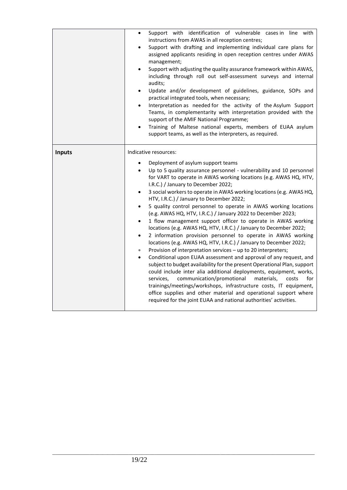|               | Support with identification of vulnerable cases in line with<br>$\bullet$<br>instructions from AWAS in all reception centres;<br>Support with drafting and implementing individual care plans for<br>$\bullet$<br>assigned applicants residing in open reception centres under AWAS<br>management;<br>Support with adjusting the quality assurance framework within AWAS,<br>$\bullet$<br>including through roll out self-assessment surveys and internal<br>audits;<br>Update and/or development of guidelines, guidance, SOPs and<br>$\bullet$<br>practical integrated tools, when necessary;<br>Interpretation as needed for the activity of the Asylum Support<br>$\bullet$<br>Teams, in complementarity with interpretation provided with the<br>support of the AMIF National Programme;<br>Training of Maltese national experts, members of EUAA asylum<br>$\bullet$<br>support teams, as well as the interpreters, as required.                                                                                                                                                                                                                                                                                                                                                                                                                                                                                                                                  |
|---------------|-------------------------------------------------------------------------------------------------------------------------------------------------------------------------------------------------------------------------------------------------------------------------------------------------------------------------------------------------------------------------------------------------------------------------------------------------------------------------------------------------------------------------------------------------------------------------------------------------------------------------------------------------------------------------------------------------------------------------------------------------------------------------------------------------------------------------------------------------------------------------------------------------------------------------------------------------------------------------------------------------------------------------------------------------------------------------------------------------------------------------------------------------------------------------------------------------------------------------------------------------------------------------------------------------------------------------------------------------------------------------------------------------------------------------------------------------------------------------|
| <b>Inputs</b> | Indicative resources:<br>Deployment of asylum support teams<br>$\bullet$<br>Up to 5 quality assurance personnel - vulnerability and 10 personnel<br>$\bullet$<br>for VART to operate in AWAS working locations (e.g. AWAS HQ, HTV,<br>I.R.C.) / January to December 2022;<br>3 social workers to operate in AWAS working locations (e.g. AWAS HQ,<br>$\bullet$<br>HTV, I.R.C.) / January to December 2022;<br>5 quality control personnel to operate in AWAS working locations<br>$\bullet$<br>(e.g. AWAS HQ, HTV, I.R.C.) / January 2022 to December 2023;<br>1 flow management support officer to operate in AWAS working<br>$\bullet$<br>locations (e.g. AWAS HQ, HTV, I.R.C.) / January to December 2022;<br>2 information provision personnel to operate in AWAS working<br>$\bullet$<br>locations (e.g. AWAS HQ, HTV, I.R.C.) / January to December 2022;<br>Provision of interpretation services - up to 20 interpreters;<br>$\bullet$<br>Conditional upon EUAA assessment and approval of any request, and<br>$\bullet$<br>subject to budget availability for the present Operational Plan, support<br>could include inter alia additional deployments, equipment, works,<br>services,<br>communication/promotional<br>materials,<br>costs<br>for<br>trainings/meetings/workshops, infrastructure costs, IT equipment,<br>office supplies and other material and operational support where<br>required for the joint EUAA and national authorities' activities. |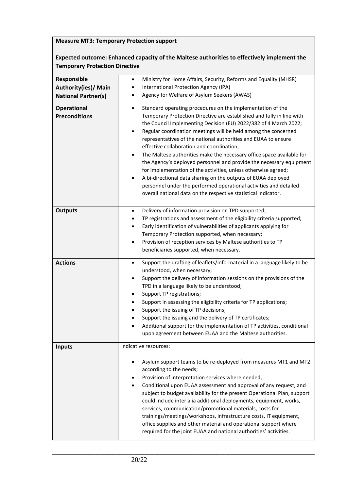# **Measure MT3: Temporary Protection support**

# **Expected outcome: Enhanced capacity of the Maltese authorities to effectively implement the Temporary Protection Directive**

| Responsible                | Ministry for Home Affairs, Security, Reforms and Equality (MHSR)<br>$\bullet$                                                                 |
|----------------------------|-----------------------------------------------------------------------------------------------------------------------------------------------|
| Authority(ies)/ Main       | International Protection Agency (IPA)                                                                                                         |
| <b>National Partner(s)</b> | Agency for Welfare of Asylum Seekers (AWAS)                                                                                                   |
| <b>Operational</b>         | Standard operating procedures on the implementation of the<br>$\bullet$                                                                       |
| <b>Preconditions</b>       | Temporary Protection Directive are established and fully in line with                                                                         |
|                            | the Council Implementing Decision (EU) 2022/382 of 4 March 2022;                                                                              |
|                            | Regular coordination meetings will be held among the concerned<br>$\bullet$<br>representatives of the national authorities and EUAA to ensure |
|                            | effective collaboration and coordination;                                                                                                     |
|                            | The Maltese authorities make the necessary office space available for<br>٠                                                                    |
|                            | the Agency's deployed personnel and provide the necessary equipment                                                                           |
|                            | for implementation of the activities, unless otherwise agreed;                                                                                |
|                            | A bi-directional data sharing on the outputs of EUAA deployed<br>٠                                                                            |
|                            | personnel under the performed operational activities and detailed                                                                             |
|                            | overall national data on the respective statistical indicator.                                                                                |
| <b>Outputs</b>             | Delivery of information provision on TPD supported;<br>٠                                                                                      |
|                            | TP registrations and assessment of the eligibility criteria supported;<br>٠                                                                   |
|                            | Early identification of vulnerabilities of applicants applying for<br>$\bullet$                                                               |
|                            | Temporary Protection supported, when necessary;                                                                                               |
|                            | Provision of reception services by Maltese authorities to TP<br>$\bullet$                                                                     |
|                            | beneficiaries supported, when necessary.                                                                                                      |
| <b>Actions</b>             | Support the drafting of leaflets/info-material in a language likely to be<br>$\bullet$                                                        |
|                            | understood, when necessary;                                                                                                                   |
|                            | Support the delivery of information sessions on the provisions of the<br>$\bullet$                                                            |
|                            | TPD in a language likely to be understood;                                                                                                    |
|                            | Support TP registrations;<br>٠                                                                                                                |
|                            | Support in assessing the eligibility criteria for TP applications;<br>٠                                                                       |
|                            | Support the issuing of TP decisions;<br>٠<br>Support the issuing and the delivery of TP certificates;                                         |
|                            | Additional support for the implementation of TP activities, conditional<br>٠                                                                  |
|                            | upon agreement between EUAA and the Maltese authorities.                                                                                      |
|                            |                                                                                                                                               |
| <b>Inputs</b>              | Indicative resources:                                                                                                                         |
|                            | Asylum support teams to be re-deployed from measures MT1 and MT2<br>$\bullet$                                                                 |
|                            | according to the needs;                                                                                                                       |
|                            | Provision of interpretation services where needed;                                                                                            |
|                            | Conditional upon EUAA assessment and approval of any request, and<br>$\bullet$                                                                |
|                            | subject to budget availability for the present Operational Plan, support                                                                      |
|                            | could include inter alia additional deployments, equipment, works,                                                                            |
|                            | services, communication/promotional materials, costs for                                                                                      |
|                            | trainings/meetings/workshops, infrastructure costs, IT equipment,<br>office supplies and other material and operational support where         |
|                            | required for the joint EUAA and national authorities' activities.                                                                             |
|                            |                                                                                                                                               |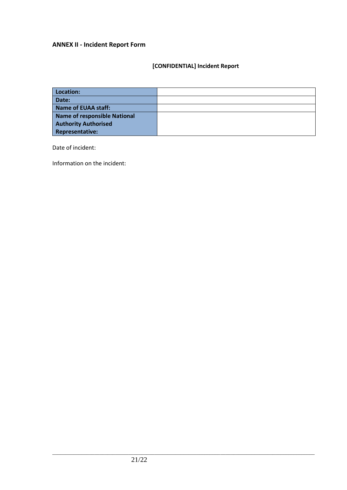# **ANNEX II - Incident Report Form**

# **[CONFIDENTIAL] Incident Report**

| Location:                           |  |
|-------------------------------------|--|
| Date:                               |  |
| <b>Name of EUAA staff:</b>          |  |
| <b>Name of responsible National</b> |  |
| <b>Authority Authorised</b>         |  |
| <b>Representative:</b>              |  |

Date of incident:

Information on the incident: